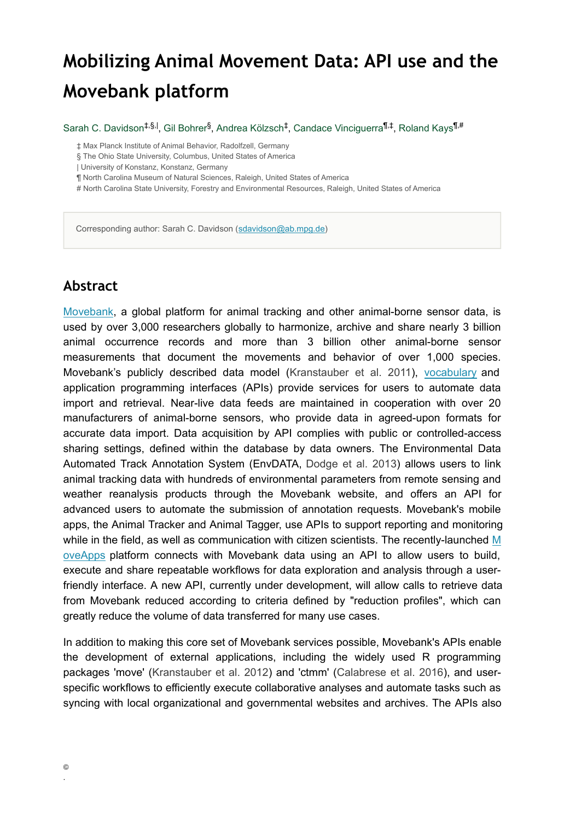# **Mobilizing Animal Movement Data: API use and the Movebank platform**

Sarah C. Davidson<sup>‡,§, I</sup>, Gil Bohrer<sup>§</sup>, Andrea Kölzsch<sup>‡</sup>, Candace Vinciguerra<sup>¶,‡</sup>, Roland Kays<sup>¶,#</sup>

‡ Max Planck Institute of Animal Behavior, Radolfzell, Germany

§ The Ohio State University, Columbus, United States of America

| University of Konstanz, Konstanz, Germany

¶ North Carolina Museum of Natural Sciences, Raleigh, United States of America

# North Carolina State University, Forestry and Environmental Resources, Raleigh, United States of America

Corresponding author: Sarah C. Davidson ([sdavidson@ab.mpg.de](mailto:sdavidson@ab.mpg.de))

#### **Abstract**

[Movebank,](https://www.movebank.org/cms/movebank-content/about-movebank) a global platform for animal tracking and other animal-borne sensor data, is used by over 3,000 researchers globally to harmonize, archive and share nearly 3 billion animal occurrence records and more than 3 billion other animal-borne sensor measurements that document the movements and behavior of over 1,000 species. Movebank's publicly described data model [\(Kranstauber et al. 2011\)](#page-1-0), [vocabulary](http://vocab.nerc.ac.uk/collection/MVB/current/) and application programming interfaces (APIs) provide services for users to automate data import and retrieval. Near-live data feeds are maintained in cooperation with over 20 manufacturers of animal-borne sensors, who provide data in agreed-upon formats for accurate data import. Data acquisition by API complies with public or controlled-access sharing settings, defined within the database by data owners. The Environmental Data Automated Track Annotation System (EnvDATA, [Dodge et al. 2013\)](#page-1-1) allows users to link animal tracking data with hundreds of environmental parameters from remote sensing and weather reanalysis products through the Movebank website, and offers an API for advanced users to automate the submission of annotation requests. Movebank's mobile apps, the Animal Tracker and Animal Tagger, use APIs to support reporting and monitoring while in the field, as well as communication with citizen scientists. The recently-launched [M](https://moveapps.org/) [oveApps](https://moveapps.org/) platform connects with Movebank data using an API to allow users to build, execute and share repeatable workflows for data exploration and analysis through a userfriendly interface. A new API, currently under development, will allow calls to retrieve data from Movebank reduced according to criteria defined by "reduction profiles", which can greatly reduce the volume of data transferred for many use cases.

In addition to making this core set of Movebank services possible, Movebank's APIs enable the development of external applications, including the widely used R programming packages 'move' [\(Kranstauber et al. 2012\)](#page-2-0) and 'ctmm' [\(Calabrese et al. 2016](#page-1-2)), and userspecific workflows to efficiently execute collaborative analyses and automate tasks such as syncing with local organizational and governmental websites and archives. The APIs also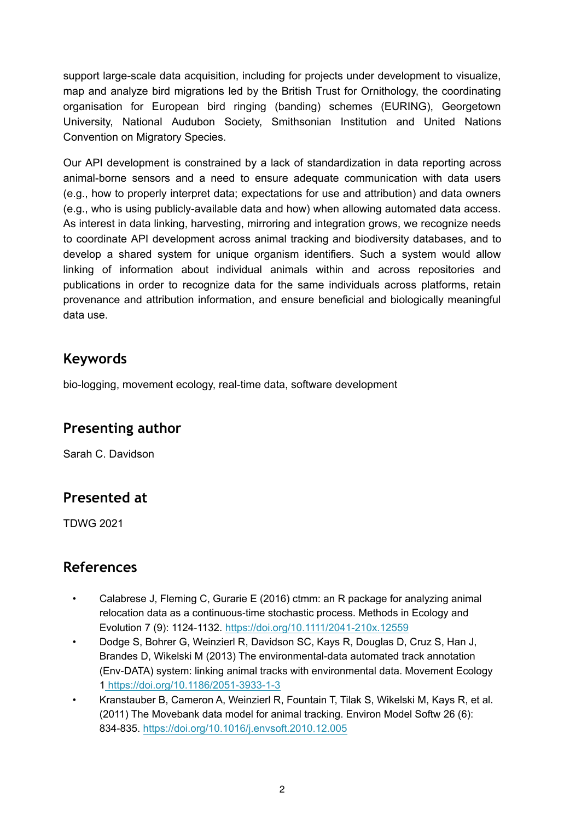support large-scale data acquisition, including for projects under development to visualize, map and analyze bird migrations led by the British Trust for Ornithology, the coordinating organisation for European bird ringing (banding) schemes (EURING), Georgetown University, National Audubon Society, Smithsonian Institution and United Nations Convention on Migratory Species.

Our API development is constrained by a lack of standardization in data reporting across animal-borne sensors and a need to ensure adequate communication with data users (e.g., how to properly interpret data; expectations for use and attribution) and data owners (e.g., who is using publicly-available data and how) when allowing automated data access. As interest in data linking, harvesting, mirroring and integration grows, we recognize needs to coordinate API development across animal tracking and biodiversity databases, and to develop a shared system for unique organism identifiers. Such a system would allow linking of information about individual animals within and across repositories and publications in order to recognize data for the same individuals across platforms, retain provenance and attribution information, and ensure beneficial and biologically meaningful data use.

#### **Keywords**

bio-logging, movement ecology, real-time data, software development

## **Presenting author**

Sarah C. Davidson

## **Presented at**

TDWG 2021

## **References**

- <span id="page-1-2"></span>• Calabrese J, Fleming C, Gurarie E (2016) ctmm: an R package for analyzing animal relocation data as a continuous‐time stochastic process. Methods in Ecology and Evolution 7 (9): 1124‑1132. <https://doi.org/10.1111/2041-210x.12559>
- <span id="page-1-1"></span>• Dodge S, Bohrer G, Weinzierl R, Davidson SC, Kays R, Douglas D, Cruz S, Han J, Brandes D, Wikelski M (2013) The environmental-data automated track annotation (Env-DATA) system: linking animal tracks with environmental data. Movement Ecology [1 https://doi.org/10.1186/2051-3933-1-3](https://doi.org/10.1186/2051-3933-1-3)
- <span id="page-1-0"></span>• Kranstauber B, Cameron A, Weinzierl R, Fountain T, Tilak S, Wikelski M, Kays R, et al. (2011) The Movebank data model for animal tracking. Environ Model Softw 26 (6): 834‑835. <https://doi.org/10.1016/j.envsoft.2010.12.005>